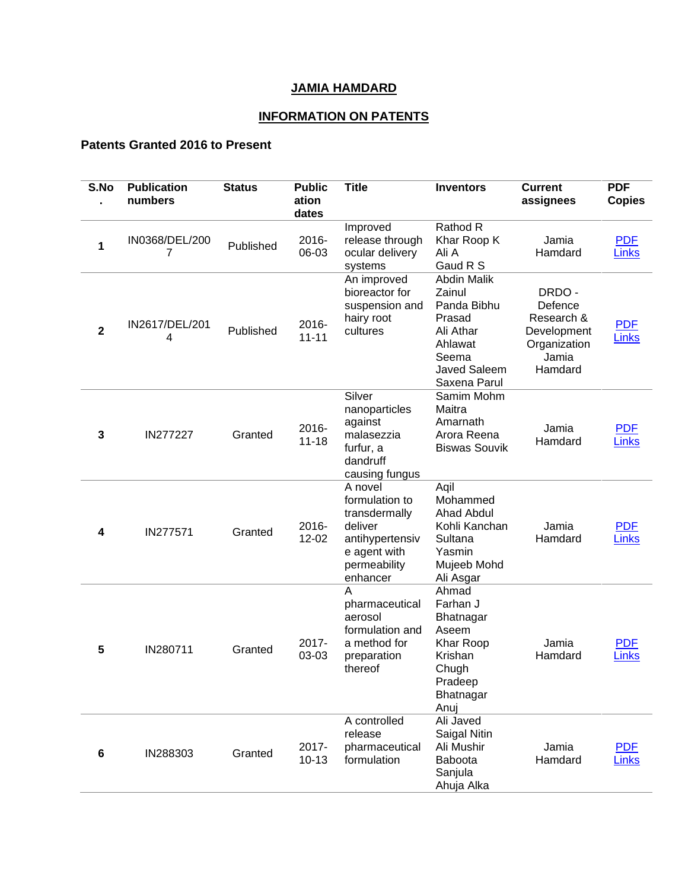## **JAMIA HAMDARD**

## **INFORMATION ON PATENTS**

## **Patents Granted 2016 to Present**

| S.No           | <b>Publication</b><br>numbers | <b>Status</b> | <b>Public</b><br>ation<br>dates | <b>Title</b>                                                                                                         | <b>Inventors</b>                                                                                                              | <b>Current</b><br>assignees                                                       | <b>PDF</b><br><b>Copies</b> |
|----------------|-------------------------------|---------------|---------------------------------|----------------------------------------------------------------------------------------------------------------------|-------------------------------------------------------------------------------------------------------------------------------|-----------------------------------------------------------------------------------|-----------------------------|
| 1              | IN0368/DEL/200<br>7           | Published     | 2016-<br>06-03                  | Improved<br>release through<br>ocular delivery<br>systems                                                            | Rathod R<br>Khar Roop K<br>Ali A<br>Gaud R S                                                                                  | Jamia<br>Hamdard                                                                  | <b>PDF</b><br><b>Links</b>  |
| $\overline{2}$ | IN2617/DEL/201<br>4           | Published     | 2016-<br>$11 - 11$              | An improved<br>bioreactor for<br>suspension and<br>hairy root<br>cultures                                            | <b>Abdin Malik</b><br>Zainul<br>Panda Bibhu<br>Prasad<br>Ali Athar<br>Ahlawat<br>Seema<br><b>Javed Saleem</b><br>Saxena Parul | DRDO-<br>Defence<br>Research &<br>Development<br>Organization<br>Jamia<br>Hamdard | <b>PDF</b><br><b>Links</b>  |
| 3              | IN277227                      | Granted       | 2016-<br>$11 - 18$              | Silver<br>nanoparticles<br>against<br>malasezzia<br>furfur, a<br>dandruff<br>causing fungus                          | Samim Mohm<br>Maitra<br>Amarnath<br>Arora Reena<br><b>Biswas Souvik</b>                                                       | Jamia<br>Hamdard                                                                  | <b>PDF</b><br><b>Links</b>  |
| 4              | IN277571                      | Granted       | 2016-<br>12-02                  | A novel<br>formulation to<br>transdermally<br>deliver<br>antihypertensiv<br>e agent with<br>permeability<br>enhancer | Aqil<br>Mohammed<br><b>Ahad Abdul</b><br>Kohli Kanchan<br>Sultana<br>Yasmin<br>Mujeeb Mohd<br>Ali Asgar                       | Jamia<br>Hamdard                                                                  | <b>PDF</b><br><b>Links</b>  |
| 5              | IN280711                      | Granted       | 2017-<br>03-03                  | А<br>pharmaceutical<br>aerosol<br>formulation and<br>a method for<br>preparation<br>thereof                          | Ahmad<br>Farhan J<br>Bhatnagar<br>Aseem<br>Khar Roop<br>Krishan<br>Chugh<br>Pradeep<br>Bhatnagar<br>Anuj                      | Jamia<br>Hamdard                                                                  | <b>PDF</b><br><b>Links</b>  |
| 6              | IN288303                      | Granted       | 2017-<br>$10 - 13$              | A controlled<br>release<br>pharmaceutical<br>formulation                                                             | Ali Javed<br>Saigal Nitin<br>Ali Mushir<br>Baboota<br>Sanjula<br>Ahuja Alka                                                   | Jamia<br>Hamdard                                                                  | <b>PDF</b><br><b>Links</b>  |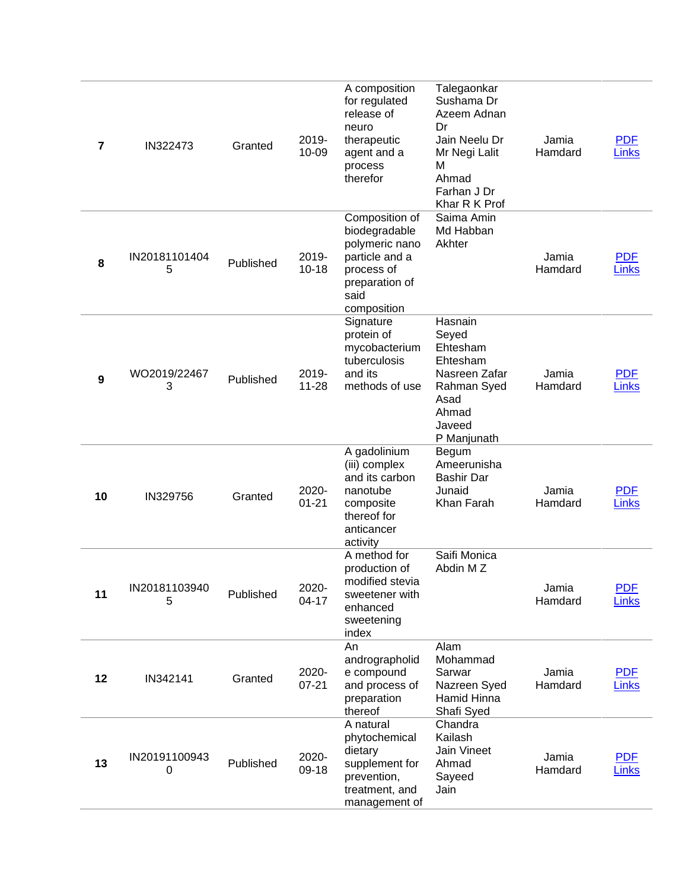| $\overline{7}$   | IN322473           | Granted   | 2019-<br>10-09     | A composition<br>for regulated<br>release of<br>neuro<br>therapeutic<br>agent and a<br>process<br>therefor                 | Talegaonkar<br>Sushama Dr<br>Azeem Adnan<br>Dr<br>Jain Neelu Dr<br>Mr Negi Lalit<br>м<br>Ahmad<br>Farhan J Dr<br>Khar R K Prof | Jamia<br>Hamdard | <b>PDF</b><br>Links        |
|------------------|--------------------|-----------|--------------------|----------------------------------------------------------------------------------------------------------------------------|--------------------------------------------------------------------------------------------------------------------------------|------------------|----------------------------|
| 8                | IN20181101404<br>5 | Published | 2019-<br>$10 - 18$ | Composition of<br>biodegradable<br>polymeric nano<br>particle and a<br>process of<br>preparation of<br>said<br>composition | Saima Amin<br>Md Habban<br>Akhter                                                                                              | Jamia<br>Hamdard | <b>PDF</b><br><b>Links</b> |
| $\boldsymbol{9}$ | WO2019/22467<br>3  | Published | 2019-<br>$11 - 28$ | Signature<br>protein of<br>mycobacterium<br>tuberculosis<br>and its<br>methods of use                                      | Hasnain<br>Seyed<br>Ehtesham<br>Ehtesham<br>Nasreen Zafar<br>Rahman Syed<br>Asad<br>Ahmad<br>Javeed<br>P Manjunath             | Jamia<br>Hamdard | <b>PDF</b><br><b>Links</b> |
| 10               | IN329756           | Granted   | 2020-<br>$01 - 21$ | A gadolinium<br>(iii) complex<br>and its carbon<br>nanotube<br>composite<br>thereof for<br>anticancer<br>activity          | Begum<br>Ameerunisha<br><b>Bashir Dar</b><br>Junaid<br>Khan Farah                                                              | Jamia<br>Hamdard | <b>PDF</b><br><b>Links</b> |
| 11               | IN20181103940<br>5 | Published | 2020-<br>$04 - 17$ | A method for<br>production of<br>modified stevia<br>sweetener with<br>enhanced<br>sweetening<br>index                      | Saifi Monica<br>Abdin M Z                                                                                                      | Jamia<br>Hamdard | <b>PDF</b><br><b>Links</b> |
| 12               | IN342141           | Granted   | 2020-<br>$07 - 21$ | An<br>andrographolid<br>e compound<br>and process of<br>preparation<br>thereof                                             | Alam<br>Mohammad<br>Sarwar<br>Nazreen Syed<br>Hamid Hinna<br>Shafi Syed                                                        | Jamia<br>Hamdard | <b>PDF</b><br><b>Links</b> |
| 13               | IN20191100943<br>0 | Published | 2020-<br>09-18     | A natural<br>phytochemical<br>dietary<br>supplement for<br>prevention,<br>treatment, and<br>management of                  | Chandra<br>Kailash<br>Jain Vineet<br>Ahmad<br>Sayeed<br>Jain                                                                   | Jamia<br>Hamdard | <b>PDF</b><br><b>Links</b> |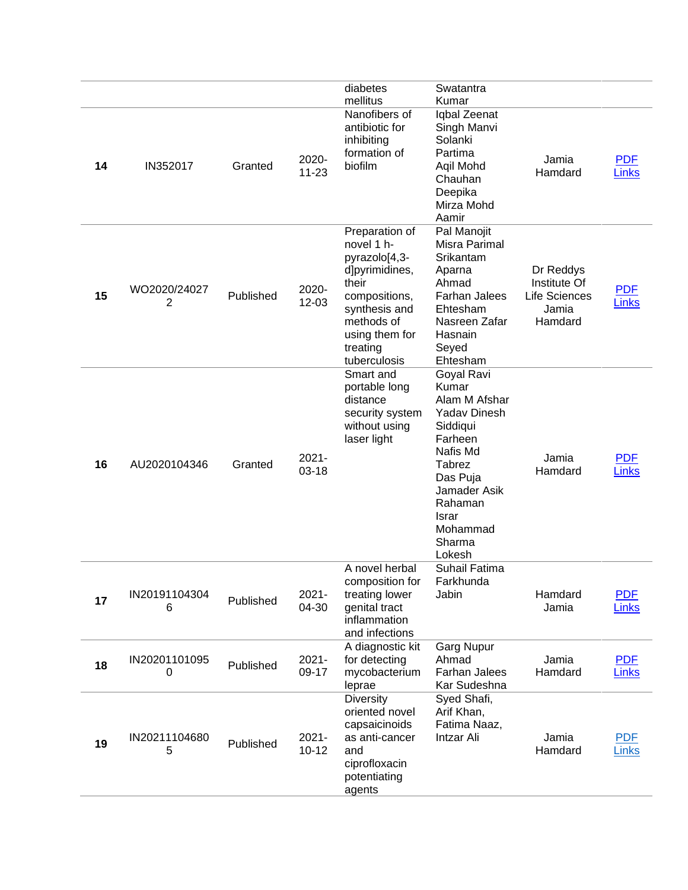|    |                    |           |                       | diabetes                                                                                                                                                               | Swatantra                                                                                                                                                                                |                                                                       |                            |
|----|--------------------|-----------|-----------------------|------------------------------------------------------------------------------------------------------------------------------------------------------------------------|------------------------------------------------------------------------------------------------------------------------------------------------------------------------------------------|-----------------------------------------------------------------------|----------------------------|
| 14 | IN352017           | Granted   | 2020-<br>$11 - 23$    | mellitus<br>Nanofibers of<br>antibiotic for<br>inhibiting<br>formation of<br>biofilm                                                                                   | Kumar<br>Iqbal Zeenat<br>Singh Manvi<br>Solanki<br>Partima<br>Aqil Mohd<br>Chauhan<br>Deepika<br>Mirza Mohd<br>Aamir                                                                     | Jamia<br>Hamdard                                                      | <b>PDF</b><br>Links        |
| 15 | WO2020/24027<br>2  | Published | 2020-<br>$12 - 03$    | Preparation of<br>novel 1 h-<br>pyrazolo[4,3-<br>d]pyrimidines,<br>their<br>compositions,<br>synthesis and<br>methods of<br>using them for<br>treating<br>tuberculosis | Pal Manojit<br>Misra Parimal<br>Srikantam<br>Aparna<br>Ahmad<br><b>Farhan Jalees</b><br>Ehtesham<br>Nasreen Zafar<br>Hasnain<br>Seyed<br>Ehtesham                                        | Dr Reddys<br>Institute Of<br><b>Life Sciences</b><br>Jamia<br>Hamdard | <b>PDF</b><br>Links        |
| 16 | AU2020104346       | Granted   | $2021 -$<br>$03 - 18$ | Smart and<br>portable long<br>distance<br>security system<br>without using<br>laser light                                                                              | Goyal Ravi<br>Kumar<br>Alam M Afshar<br><b>Yadav Dinesh</b><br>Siddiqui<br>Farheen<br>Nafis Md<br>Tabrez<br>Das Puja<br>Jamader Asik<br>Rahaman<br>Israr<br>Mohammad<br>Sharma<br>Lokesh | Jamia<br>Hamdard                                                      | <b>PDF</b><br>Links        |
| 17 | IN20191104304<br>6 | Published | $2021 -$<br>04-30     | A novel herbal<br>composition for<br>treating lower<br>genital tract<br>inflammation<br>and infections                                                                 | Suhail Fatima<br>Farkhunda<br>Jabin                                                                                                                                                      | Hamdard<br>Jamia                                                      | <b>PDF</b><br><b>Links</b> |
| 18 | IN20201101095<br>0 | Published | $2021 -$<br>09-17     | A diagnostic kit<br>for detecting<br>mycobacterium<br>leprae                                                                                                           | <b>Garg Nupur</b><br>Ahmad<br>Farhan Jalees<br>Kar Sudeshna                                                                                                                              | Jamia<br>Hamdard                                                      | <b>PDF</b><br>Links        |
| 19 | IN20211104680<br>5 | Published | $2021 -$<br>$10 - 12$ | <b>Diversity</b><br>oriented novel<br>capsaicinoids<br>as anti-cancer<br>and<br>ciprofloxacin<br>potentiating<br>agents                                                | Syed Shafi,<br>Arif Khan,<br>Fatima Naaz,<br>Intzar Ali                                                                                                                                  | Jamia<br>Hamdard                                                      | <b>PDF</b><br>Links        |